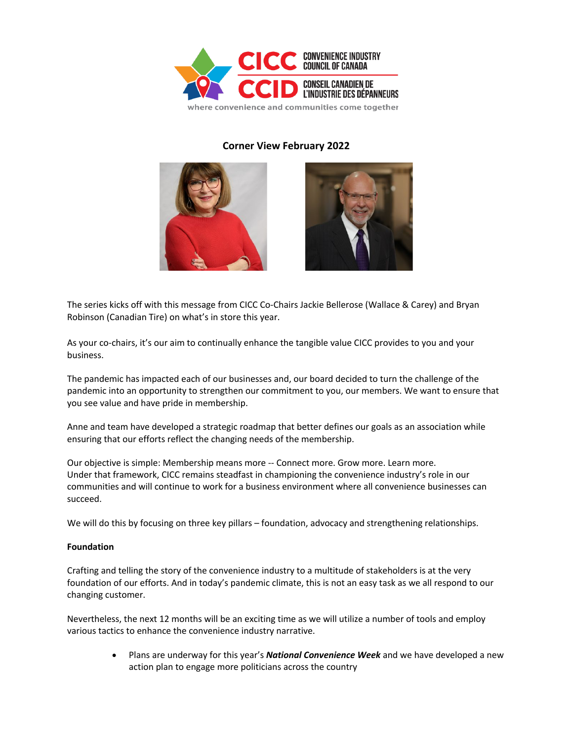

## **Corner View February 2022**





The series kicks off with this message from CICC Co-Chairs Jackie Bellerose (Wallace & Carey) and Bryan Robinson (Canadian Tire) on what's in store this year.

As your co-chairs, it's our aim to continually enhance the tangible value CICC provides to you and your business.

The pandemic has impacted each of our businesses and, our board decided to turn the challenge of the pandemic into an opportunity to strengthen our commitment to you, our members. We want to ensure that you see value and have pride in membership.

Anne and team have developed a strategic roadmap that better defines our goals as an association while ensuring that our efforts reflect the changing needs of the membership.

Our objective is simple: Membership means more -- Connect more. Grow more. Learn more. Under that framework, CICC remains steadfast in championing the convenience industry's role in our communities and will continue to work for a business environment where all convenience businesses can succeed.

We will do this by focusing on three key pillars – foundation, advocacy and strengthening relationships.

## **Foundation**

Crafting and telling the story of the convenience industry to a multitude of stakeholders is at the very foundation of our efforts. And in today's pandemic climate, this is not an easy task as we all respond to our changing customer.

Nevertheless, the next 12 months will be an exciting time as we will utilize a number of tools and employ various tactics to enhance the convenience industry narrative.

> • Plans are underway for this year's *National Convenience Week* and we have developed a new action plan to engage more politicians across the country